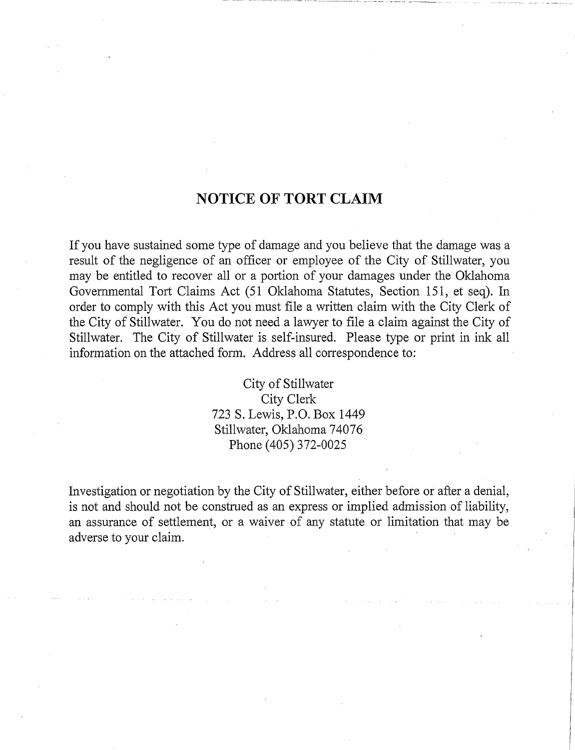## NOTICE OF TORT CLAIM

If you have sustained some type of damage and you believe that the damage was a result of the negligence of an officer or employee of the City of Stillwater, you may be entitled to recover all or a portion of your damages under the Oklahoma Governmental Tort Claims Act (51 Oklahoma Statutes, Section 151, et seq). In order to comply with this Act you must file a written claim with the City Clerk of the City of Stillwater. You do not need a lawyer to file a claim against the City of Stillwater. The City of Stillwater is self-insured. Please type or print in ink all information on the attached form. Address all correspondence to:

> City of Stillwater City Clerk 723 S. Lewis, P.O. Box 1449 Stillwater, Oklahoma 74076 Phone (405) 372-0025

Investigation or negotiation by the City of Stillwater, either before or after a denial, is not and should not be construed as an express or implied admission of liability, an assurance of settlement, or a waiver of any statute or limitation that may be adverse to your claim .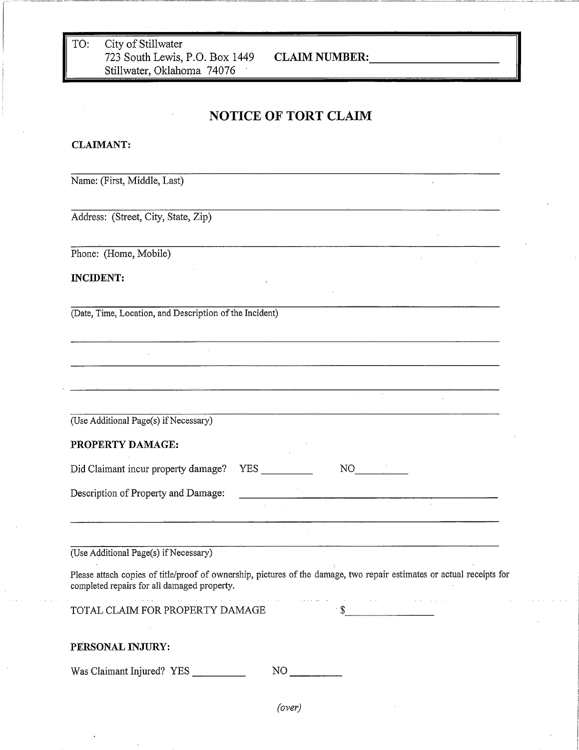TO: City of Stillwater 723 South Lewis, P.O. Box 1449 CLAIM **NUMBER:** Stillwater, Oklahoma 74076

 $\mathbb{Z}^2$ 

 $\mathcal{L}^{\mathcal{L}}$ 

## NOTICE OF TORT CLAIM

## **CLAIMANT :**

Name: (First, Middle, Last)

Address: (Street, City, State, Zip)

Phone: (Home, Mobile)

**INCIDENT:**

(Date, Time, Location, and Description of the Incident)

 $\mathcal{L}_{\mathrm{eff}}$ 

| (Use Additional Page(s) if Necessary) |  |
|---------------------------------------|--|

PROPERTY DAMAGE:

| Did Claimant incur property damage? | YES | NO |
|-------------------------------------|-----|----|
| Description of Property and Damage: |     |    |

(Use Additional Page(s) if Necessary)

Please attach copies of title/proof of ownership, pictures of the damage, two repair estimates or actual receipts for completed repairs for all damaged property.

\$

TOTAL CLAIM FOR PROPERTY DAMAGE

## PERSONAL INJURY:

Was Claimant Injured? YES NO

*(over)*